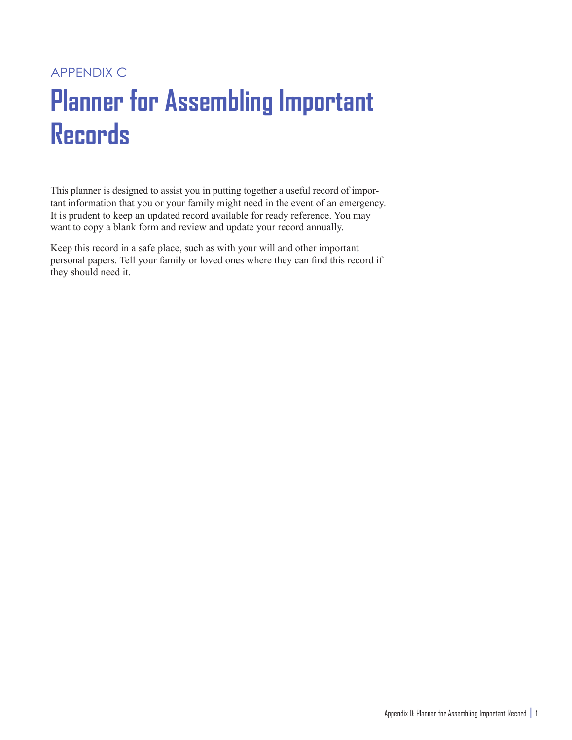# Appendix C

# **Planner for Assembling Important Records**

This planner is designed to assist you in putting together a useful record of important information that you or your family might need in the event of an emergency. It is prudent to keep an updated record available for ready reference. You may want to copy a blank form and review and update your record annually.

Keep this record in a safe place, such as with your will and other important personal papers. Tell your family or loved ones where they can find this record if they should need it.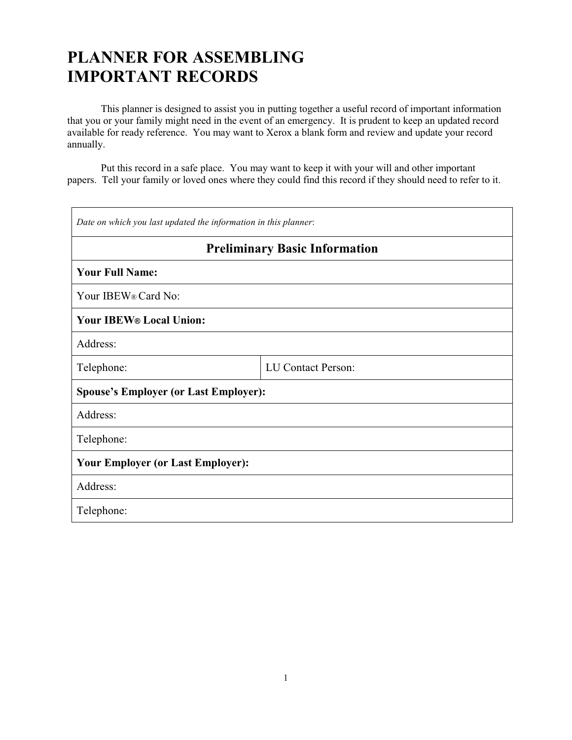| Date on which you last updated the information in this planner: |                    |  |
|-----------------------------------------------------------------|--------------------|--|
| <b>Preliminary Basic Information</b>                            |                    |  |
| <b>Your Full Name:</b>                                          |                    |  |
| Your IBEW® Card No:                                             |                    |  |
| Your IBEW® Local Union:                                         |                    |  |
| Address:                                                        |                    |  |
| Telephone:                                                      | LU Contact Person: |  |
| <b>Spouse's Employer (or Last Employer):</b>                    |                    |  |
| Address:                                                        |                    |  |
| Telephone:                                                      |                    |  |
| <b>Your Employer (or Last Employer):</b>                        |                    |  |
| Address:                                                        |                    |  |
| Telephone:                                                      |                    |  |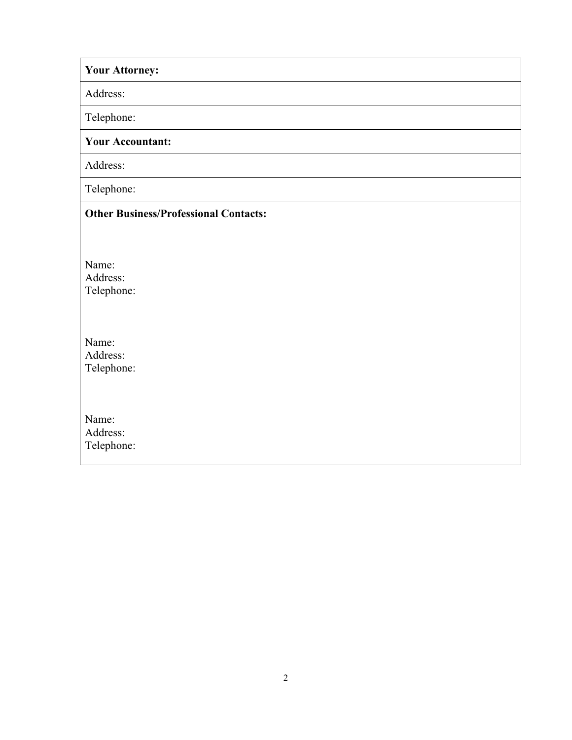# **Your Attorney:**

Address:

Telephone:

## **Your Accountant:**

Address:

Telephone:

# **Other Business/Professional Contacts:**

Name: Address: Telephone:

Name: Address: Telephone:

Name: Address: Telephone: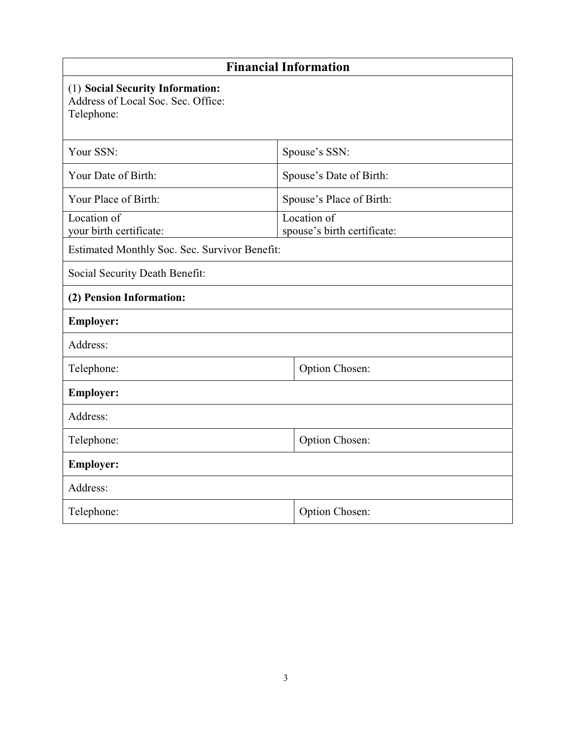| <b>Financial Information</b>                                                         |                                            |  |
|--------------------------------------------------------------------------------------|--------------------------------------------|--|
| (1) Social Security Information:<br>Address of Local Soc. Sec. Office:<br>Telephone: |                                            |  |
| Your SSN:                                                                            | Spouse's SSN:                              |  |
| Your Date of Birth:                                                                  | Spouse's Date of Birth:                    |  |
| Your Place of Birth:                                                                 | Spouse's Place of Birth:                   |  |
| Location of<br>your birth certificate:                                               | Location of<br>spouse's birth certificate: |  |
| Estimated Monthly Soc. Sec. Survivor Benefit:                                        |                                            |  |
| Social Security Death Benefit:                                                       |                                            |  |
| (2) Pension Information:                                                             |                                            |  |
| <b>Employer:</b>                                                                     |                                            |  |
| Address:                                                                             |                                            |  |
| Option Chosen:<br>Telephone:                                                         |                                            |  |
| <b>Employer:</b>                                                                     |                                            |  |
| Address:                                                                             |                                            |  |
| Telephone:<br>Option Chosen:                                                         |                                            |  |
| <b>Employer:</b>                                                                     |                                            |  |
| Address:                                                                             |                                            |  |
| Telephone:                                                                           | Option Chosen:                             |  |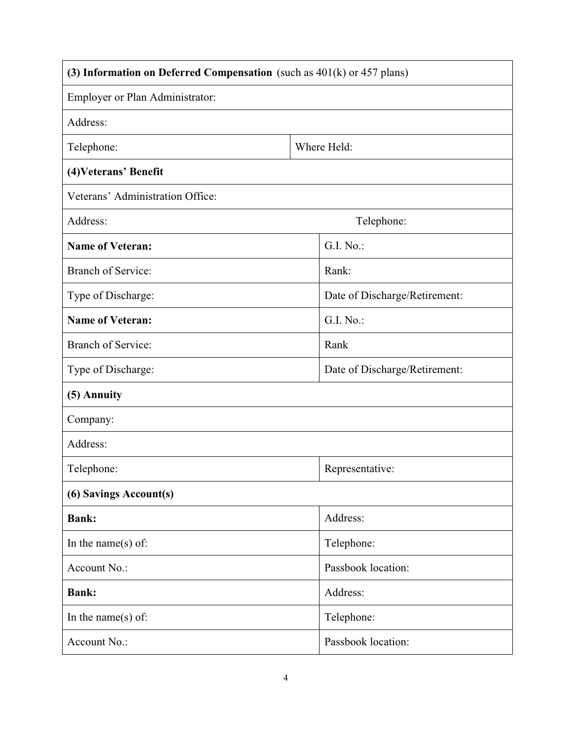| (3) Information on Deferred Compensation (such as $401(k)$ or $457$ plans) |                               |
|----------------------------------------------------------------------------|-------------------------------|
| Employer or Plan Administrator:                                            |                               |
| Address:                                                                   |                               |
| Telephone:                                                                 | Where Held:                   |
| (4) Veterans' Benefit                                                      |                               |
| Veterans' Administration Office:                                           |                               |
| Address:                                                                   | Telephone:                    |
| <b>Name of Veteran:</b>                                                    | G.I. No.:                     |
| <b>Branch of Service:</b>                                                  | Rank:                         |
| Type of Discharge:                                                         | Date of Discharge/Retirement: |
| <b>Name of Veteran:</b>                                                    | G.I. No.:                     |
| <b>Branch of Service:</b>                                                  | Rank                          |
| Type of Discharge:                                                         | Date of Discharge/Retirement: |
| (5) Annuity                                                                |                               |
| Company:                                                                   |                               |
| Address:                                                                   |                               |
| Telephone:                                                                 | Representative:               |
| (6) Savings Account(s)                                                     |                               |
| <b>Bank:</b>                                                               | Address:                      |
| In the name(s) of:                                                         | Telephone:                    |
| Account No.:                                                               | Passbook location:            |
| <b>Bank:</b>                                                               | Address:                      |
| In the name(s) of:                                                         | Telephone:                    |
| Account No.:                                                               | Passbook location:            |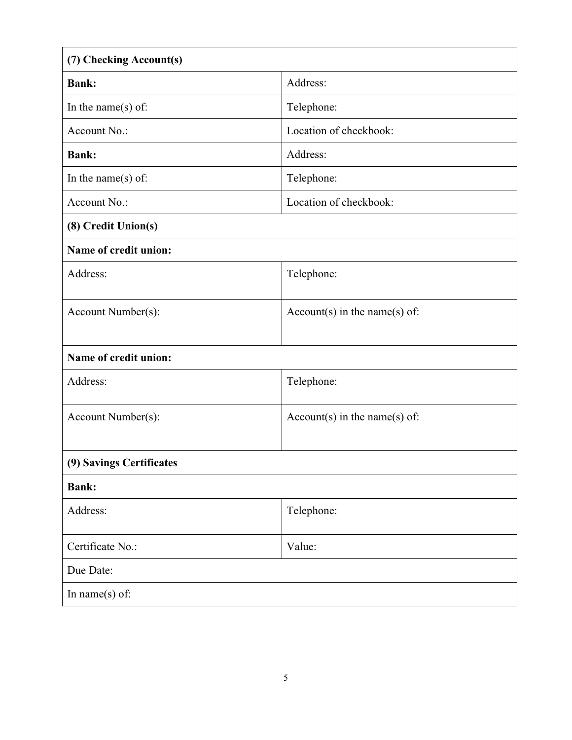| (7) Checking Account(s)  |                                 |  |
|--------------------------|---------------------------------|--|
| <b>Bank:</b>             | Address:                        |  |
| In the name(s) of:       | Telephone:                      |  |
| Account No.:             | Location of checkbook:          |  |
| <b>Bank:</b>             | Address:                        |  |
| In the name(s) of:       | Telephone:                      |  |
| Account No.:             | Location of checkbook:          |  |
| (8) Credit Union(s)      |                                 |  |
| Name of credit union:    |                                 |  |
| Address:                 | Telephone:                      |  |
| Account Number(s):       | $Account(s)$ in the name(s) of: |  |
| Name of credit union:    |                                 |  |
| Address:                 | Telephone:                      |  |
| Account Number(s):       | $Account(s)$ in the name(s) of: |  |
| (9) Savings Certificates |                                 |  |
| <b>Bank:</b>             |                                 |  |
| Address:                 | Telephone:                      |  |
| Certificate No.:         | Value:                          |  |
| Due Date:                |                                 |  |
| In name $(s)$ of:        |                                 |  |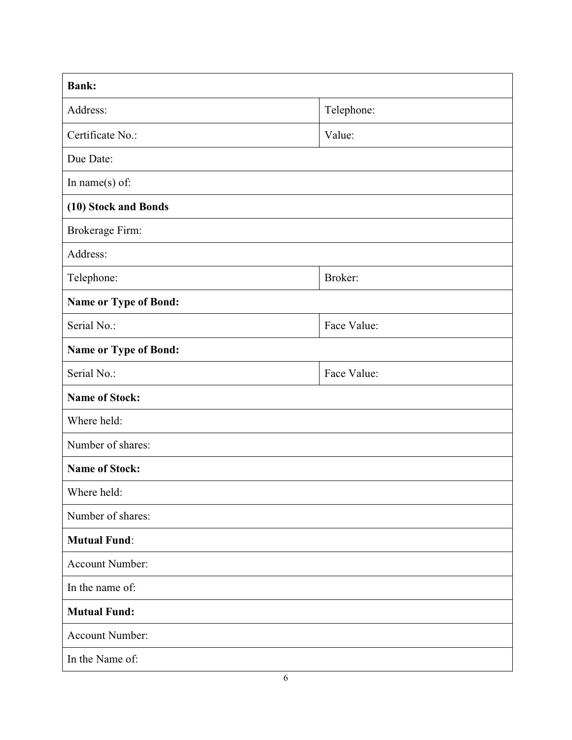| <b>Bank:</b>          |             |  |
|-----------------------|-------------|--|
| Address:              | Telephone:  |  |
| Certificate No.:      | Value:      |  |
| Due Date:             |             |  |
| In name $(s)$ of:     |             |  |
| (10) Stock and Bonds  |             |  |
| Brokerage Firm:       |             |  |
| Address:              |             |  |
| Telephone:            | Broker:     |  |
| Name or Type of Bond: |             |  |
| Serial No.:           | Face Value: |  |
| Name or Type of Bond: |             |  |
| Serial No.:           | Face Value: |  |
| <b>Name of Stock:</b> |             |  |
| Where held:           |             |  |
| Number of shares:     |             |  |
| <b>Name of Stock:</b> |             |  |
| Where held:           |             |  |
| Number of shares:     |             |  |
| <b>Mutual Fund:</b>   |             |  |
| Account Number:       |             |  |
| In the name of:       |             |  |
| <b>Mutual Fund:</b>   |             |  |
| Account Number:       |             |  |
| In the Name of:       |             |  |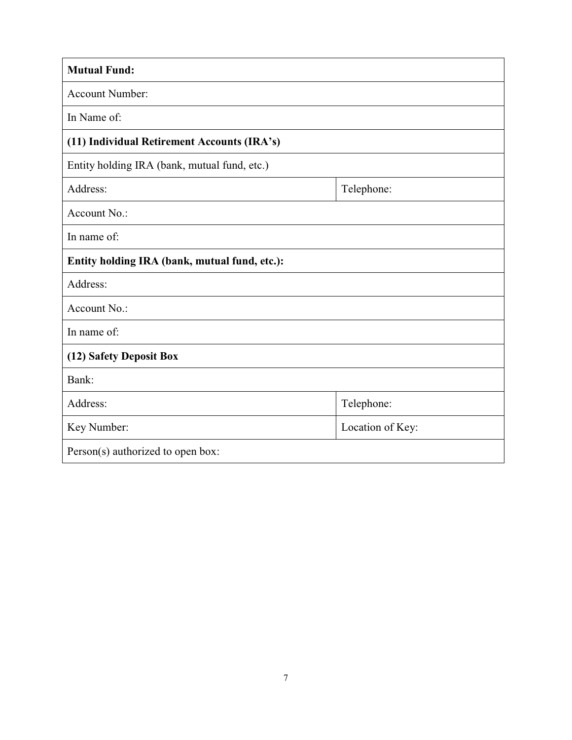| <b>Mutual Fund:</b>                           |            |  |
|-----------------------------------------------|------------|--|
| <b>Account Number:</b>                        |            |  |
| In Name of:                                   |            |  |
| (11) Individual Retirement Accounts (IRA's)   |            |  |
| Entity holding IRA (bank, mutual fund, etc.)  |            |  |
| Address:<br>Telephone:                        |            |  |
| Account No.:                                  |            |  |
| In name of:                                   |            |  |
| Entity holding IRA (bank, mutual fund, etc.): |            |  |
| Address:                                      |            |  |
| Account No.:                                  |            |  |
| In name of:                                   |            |  |
| (12) Safety Deposit Box                       |            |  |
| Bank:                                         |            |  |
| Address:                                      | Telephone: |  |
| Key Number:<br>Location of Key:               |            |  |
| Person(s) authorized to open box:             |            |  |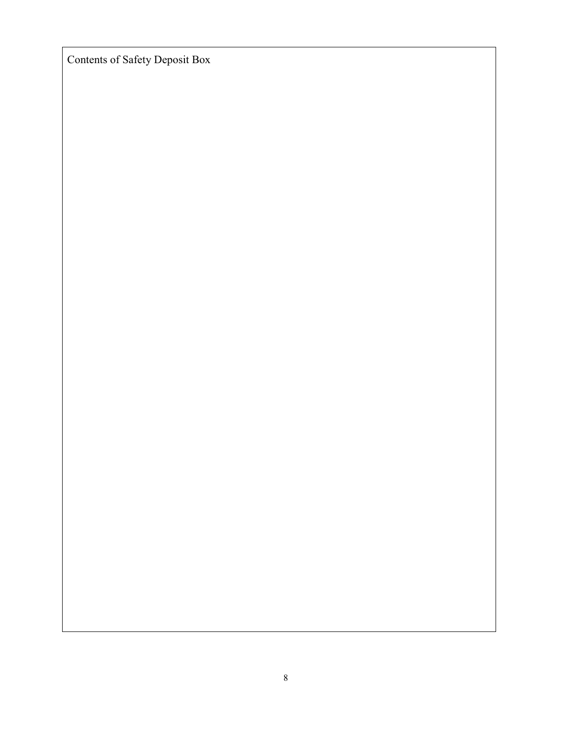Contents of Safety Deposit Box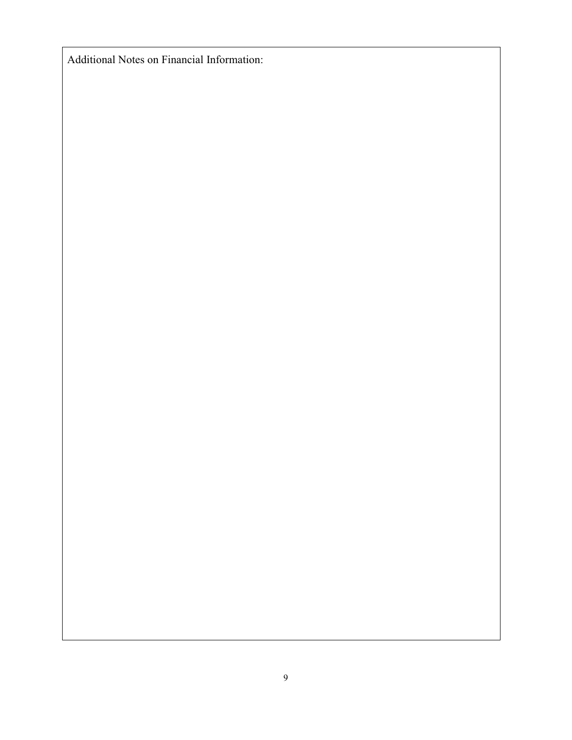Additional Notes on Financial Information: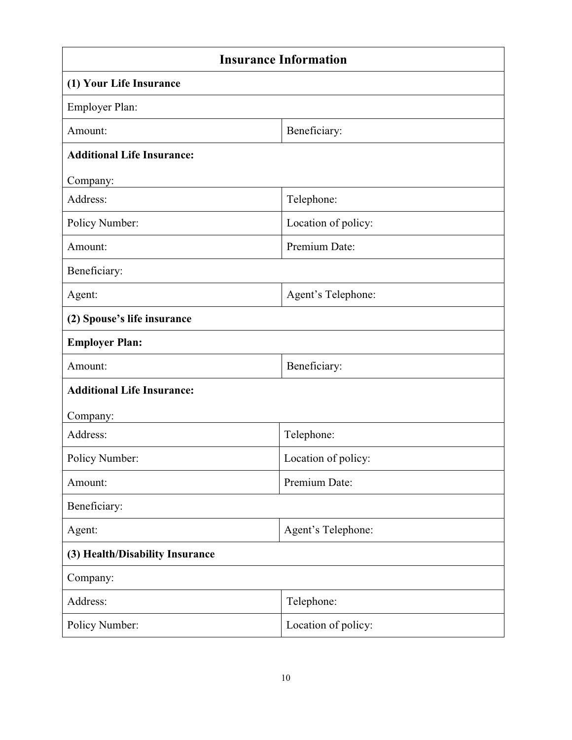| <b>Insurance Information</b>      |                     |  |
|-----------------------------------|---------------------|--|
| (1) Your Life Insurance           |                     |  |
| <b>Employer Plan:</b>             |                     |  |
| Amount:                           | Beneficiary:        |  |
| <b>Additional Life Insurance:</b> |                     |  |
| Company:                          |                     |  |
| Address:                          | Telephone:          |  |
| Policy Number:                    | Location of policy: |  |
| Amount:                           | Premium Date:       |  |
| Beneficiary:                      |                     |  |
| Agent:                            | Agent's Telephone:  |  |
| (2) Spouse's life insurance       |                     |  |
| <b>Employer Plan:</b>             |                     |  |
| Amount:                           | Beneficiary:        |  |
| <b>Additional Life Insurance:</b> |                     |  |
| Company:                          |                     |  |
| Address:                          | Telephone:          |  |
| Policy Number:                    | Location of policy: |  |
| Amount:                           | Premium Date:       |  |
| Beneficiary:                      |                     |  |
| Agent:                            | Agent's Telephone:  |  |
| (3) Health/Disability Insurance   |                     |  |
| Company:                          |                     |  |
| Address:                          | Telephone:          |  |
| Policy Number:                    | Location of policy: |  |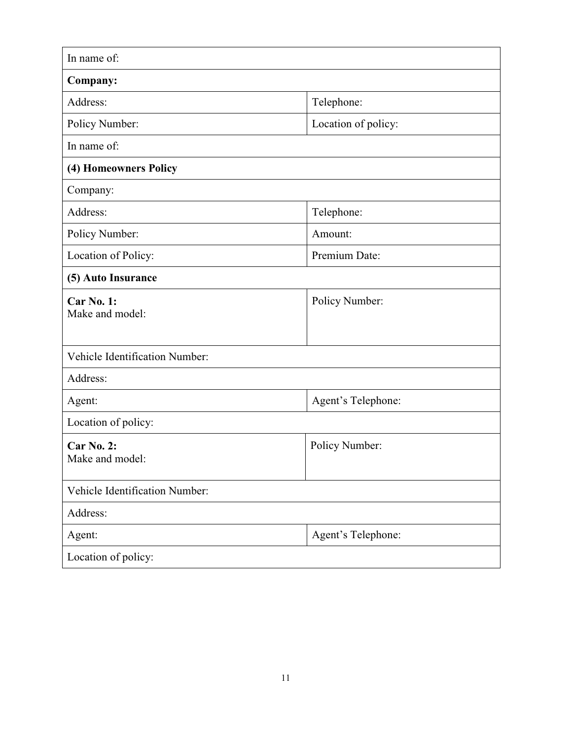| In name of:                          |                     |  |
|--------------------------------------|---------------------|--|
| Company:                             |                     |  |
| Address:                             | Telephone:          |  |
| Policy Number:                       | Location of policy: |  |
| In name of:                          |                     |  |
| (4) Homeowners Policy                |                     |  |
| Company:                             |                     |  |
| Address:                             | Telephone:          |  |
| Policy Number:                       | Amount:             |  |
| Location of Policy:                  | Premium Date:       |  |
| (5) Auto Insurance                   |                     |  |
| <b>Car No. 1:</b><br>Make and model: | Policy Number:      |  |
| Vehicle Identification Number:       |                     |  |
| Address:                             |                     |  |
| Agent:                               | Agent's Telephone:  |  |
| Location of policy:                  |                     |  |
| Car No. 2:<br>Make and model:        | Policy Number:      |  |
| Vehicle Identification Number:       |                     |  |
| Address:                             |                     |  |
| Agent:                               | Agent's Telephone:  |  |
| Location of policy:                  |                     |  |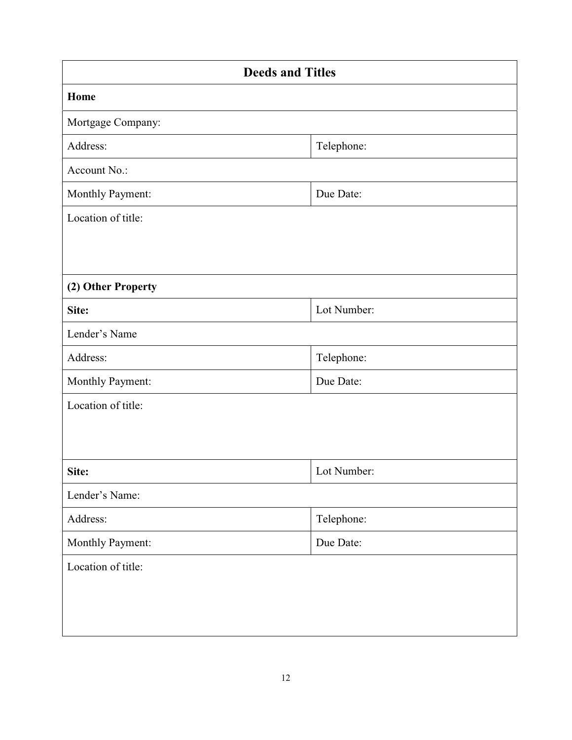| <b>Deeds and Titles</b> |             |  |
|-------------------------|-------------|--|
| Home                    |             |  |
| Mortgage Company:       |             |  |
| Address:                | Telephone:  |  |
| Account No.:            |             |  |
| Monthly Payment:        | Due Date:   |  |
| Location of title:      |             |  |
|                         |             |  |
|                         |             |  |
| (2) Other Property      |             |  |
| Site:                   | Lot Number: |  |
| Lender's Name           |             |  |
| Address:                | Telephone:  |  |
| Monthly Payment:        | Due Date:   |  |
| Location of title:      |             |  |
|                         |             |  |
|                         |             |  |
| Site:                   | Lot Number: |  |
| Lender's Name:          |             |  |
| Address:                | Telephone:  |  |
| Monthly Payment:        | Due Date:   |  |
| Location of title:      |             |  |
|                         |             |  |
|                         |             |  |
|                         |             |  |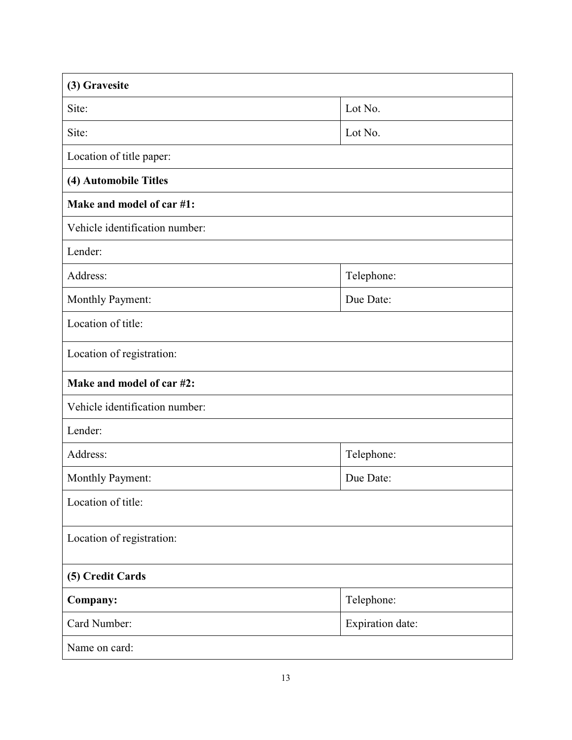| (3) Gravesite                  |                  |
|--------------------------------|------------------|
| Site:                          | Lot No.          |
| Site:                          | Lot No.          |
| Location of title paper:       |                  |
| (4) Automobile Titles          |                  |
| Make and model of car #1:      |                  |
| Vehicle identification number: |                  |
| Lender:                        |                  |
| Address:                       | Telephone:       |
| Monthly Payment:               | Due Date:        |
| Location of title:             |                  |
| Location of registration:      |                  |
| Make and model of car #2:      |                  |
| Vehicle identification number: |                  |
| Lender:                        |                  |
| Address:                       | Telephone:       |
| Monthly Payment:               | Due Date:        |
| Location of title:             |                  |
| Location of registration:      |                  |
| (5) Credit Cards               |                  |
| Company:                       | Telephone:       |
| Card Number:                   | Expiration date: |
| Name on card:                  |                  |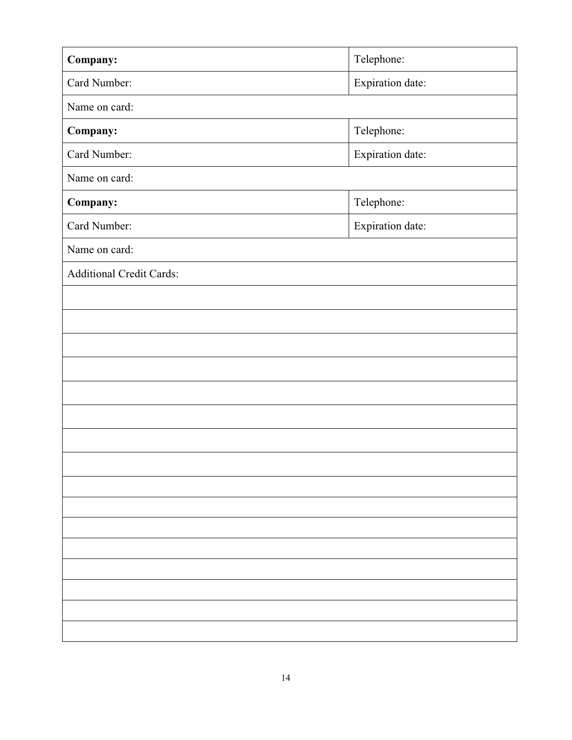| Company:                        | Telephone:       |
|---------------------------------|------------------|
| Card Number:                    | Expiration date: |
| Name on card:                   |                  |
| Company:                        | Telephone:       |
| Card Number:                    | Expiration date: |
| Name on card:                   |                  |
| Company:                        | Telephone:       |
| Card Number:                    | Expiration date: |
| Name on card:                   |                  |
| <b>Additional Credit Cards:</b> |                  |
|                                 |                  |
|                                 |                  |
|                                 |                  |
|                                 |                  |
|                                 |                  |
|                                 |                  |
|                                 |                  |
|                                 |                  |
|                                 |                  |
|                                 |                  |
|                                 |                  |
|                                 |                  |
|                                 |                  |
|                                 |                  |
|                                 |                  |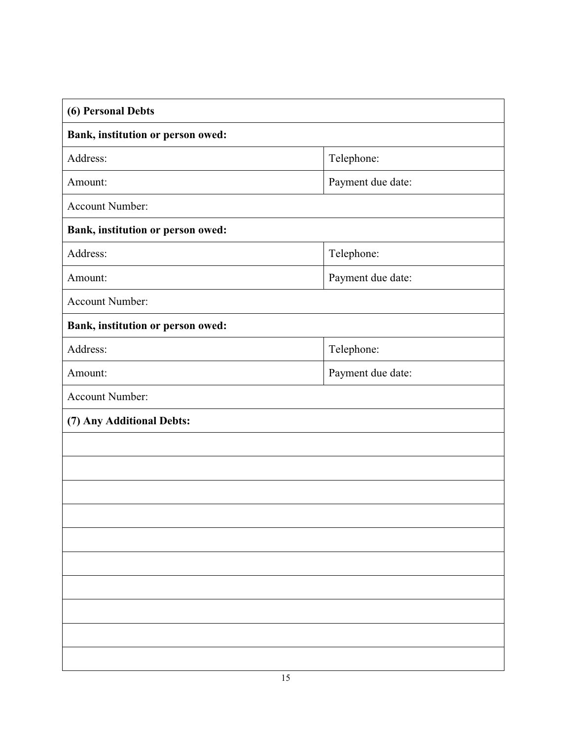| (6) Personal Debts                |                   |  |
|-----------------------------------|-------------------|--|
| Bank, institution or person owed: |                   |  |
| Address:                          | Telephone:        |  |
| Amount:                           | Payment due date: |  |
| Account Number:                   |                   |  |
| Bank, institution or person owed: |                   |  |
| Address:                          | Telephone:        |  |
| Amount:                           | Payment due date: |  |
| <b>Account Number:</b>            |                   |  |
| Bank, institution or person owed: |                   |  |
| Address:                          | Telephone:        |  |
| Amount:                           | Payment due date: |  |
| Account Number:                   |                   |  |
| (7) Any Additional Debts:         |                   |  |
|                                   |                   |  |
|                                   |                   |  |
|                                   |                   |  |
|                                   |                   |  |
|                                   |                   |  |
|                                   |                   |  |
|                                   |                   |  |
|                                   |                   |  |
|                                   |                   |  |
|                                   |                   |  |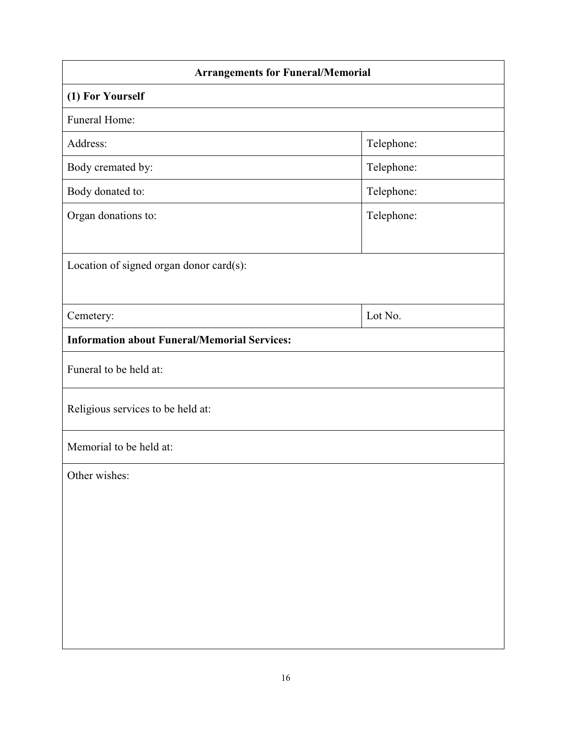| <b>Arrangements for Funeral/Memorial</b>            |            |
|-----------------------------------------------------|------------|
| (1) For Yourself                                    |            |
| Funeral Home:                                       |            |
| Address:                                            | Telephone: |
| Body cremated by:                                   | Telephone: |
| Body donated to:                                    | Telephone: |
| Organ donations to:                                 | Telephone: |
| Location of signed organ donor card(s):             |            |
| Cemetery:                                           | Lot No.    |
| <b>Information about Funeral/Memorial Services:</b> |            |
| Funeral to be held at:                              |            |
| Religious services to be held at:                   |            |
| Memorial to be held at:                             |            |
| Other wishes:                                       |            |
|                                                     |            |
|                                                     |            |
|                                                     |            |
|                                                     |            |
|                                                     |            |
|                                                     |            |
|                                                     |            |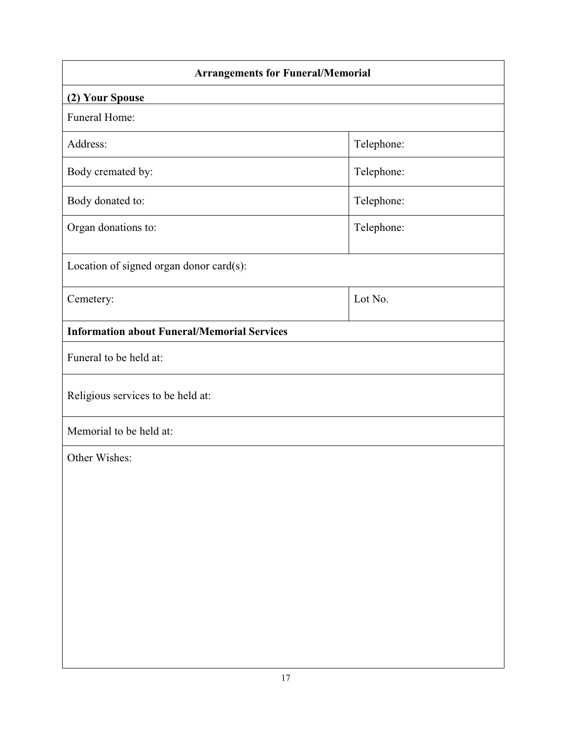| <b>Arrangements for Funeral/Memorial</b>           |            |  |
|----------------------------------------------------|------------|--|
| (2) Your Spouse                                    |            |  |
| Funeral Home:                                      |            |  |
| Address:                                           | Telephone: |  |
| Body cremated by:                                  | Telephone: |  |
| Body donated to:                                   | Telephone: |  |
| Organ donations to:                                | Telephone: |  |
| Location of signed organ donor card(s):            |            |  |
| Cemetery:                                          | Lot No.    |  |
| <b>Information about Funeral/Memorial Services</b> |            |  |
| Funeral to be held at:                             |            |  |
| Religious services to be held at:                  |            |  |
| Memorial to be held at:                            |            |  |
| Other Wishes:                                      |            |  |
|                                                    |            |  |
|                                                    |            |  |
|                                                    |            |  |
|                                                    |            |  |
|                                                    |            |  |
|                                                    |            |  |
|                                                    |            |  |
|                                                    |            |  |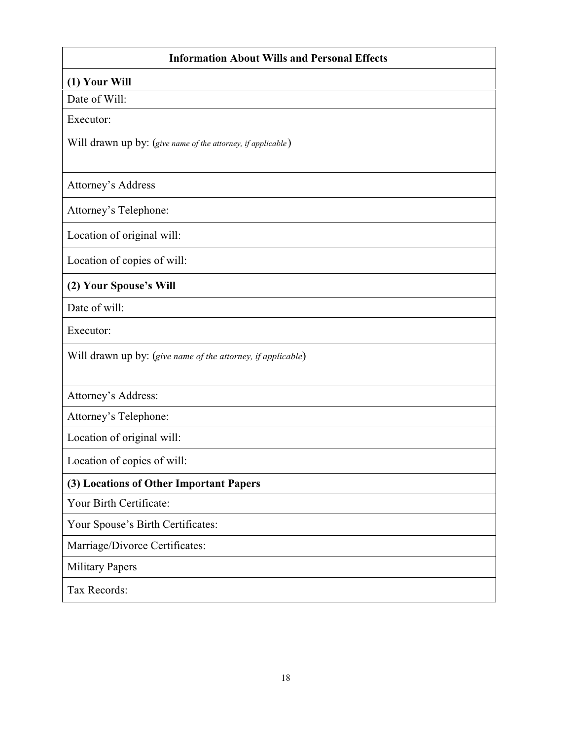#### **Information About Wills and Personal Effects**

#### (1) Your Will

Date of Will:

Executor:

Will drawn up by: (give name of the attorney, if applicable)

Attorney's Address

Attorney's Telephone:

Location of original will:

Location of copies of will:

### (2) Your Spouse's Will

Date of will:

Executor:

Will drawn up by: (give name of the attorney, if applicable)

Attorney's Address:

Attorney's Telephone:

Location of original will:

Location of copies of will:

### (3) Locations of Other Important Papers

Your Birth Certificate:

Your Spouse's Birth Certificates:

Marriage/Divorce Certificates:

**Military Papers** 

Tax Records: